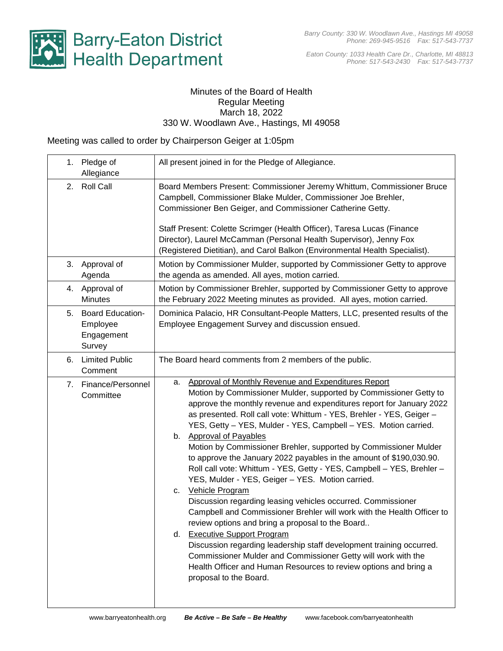

*Eaton County: 1033 Health Care Dr., Charlotte, MI 48813 Phone: 517-543-2430 Fax: 517-543-7737*

## Minutes of the Board of Health Regular Meeting March 18, 2022 330 W. Woodlawn Ave., Hastings, MI 49058

Meeting was called to order by Chairperson Geiger at 1:05pm

|    | 1. Pledge of<br>Allegiance                              | All present joined in for the Pledge of Allegiance.                                                                                                                                                                                                                                                                                                                                                                                                                                                                                                                                                                                                                                                                                                                                                                                                                                                                                                                                                                                                                                                                                                        |
|----|---------------------------------------------------------|------------------------------------------------------------------------------------------------------------------------------------------------------------------------------------------------------------------------------------------------------------------------------------------------------------------------------------------------------------------------------------------------------------------------------------------------------------------------------------------------------------------------------------------------------------------------------------------------------------------------------------------------------------------------------------------------------------------------------------------------------------------------------------------------------------------------------------------------------------------------------------------------------------------------------------------------------------------------------------------------------------------------------------------------------------------------------------------------------------------------------------------------------------|
|    | 2. Roll Call                                            | Board Members Present: Commissioner Jeremy Whittum, Commissioner Bruce<br>Campbell, Commissioner Blake Mulder, Commissioner Joe Brehler,<br>Commissioner Ben Geiger, and Commissioner Catherine Getty.<br>Staff Present: Colette Scrimger (Health Officer), Taresa Lucas (Finance<br>Director), Laurel McCamman (Personal Health Supervisor), Jenny Fox<br>(Registered Dietitian), and Carol Balkon (Environmental Health Specialist).                                                                                                                                                                                                                                                                                                                                                                                                                                                                                                                                                                                                                                                                                                                     |
| 3. | Approval of<br>Agenda                                   | Motion by Commissioner Mulder, supported by Commissioner Getty to approve<br>the agenda as amended. All ayes, motion carried.                                                                                                                                                                                                                                                                                                                                                                                                                                                                                                                                                                                                                                                                                                                                                                                                                                                                                                                                                                                                                              |
|    | 4. Approval of<br><b>Minutes</b>                        | Motion by Commissioner Brehler, supported by Commissioner Getty to approve<br>the February 2022 Meeting minutes as provided. All ayes, motion carried.                                                                                                                                                                                                                                                                                                                                                                                                                                                                                                                                                                                                                                                                                                                                                                                                                                                                                                                                                                                                     |
|    | 5. Board Education-<br>Employee<br>Engagement<br>Survey | Dominica Palacio, HR Consultant-People Matters, LLC, presented results of the<br>Employee Engagement Survey and discussion ensued.                                                                                                                                                                                                                                                                                                                                                                                                                                                                                                                                                                                                                                                                                                                                                                                                                                                                                                                                                                                                                         |
| 6. | <b>Limited Public</b><br>Comment                        | The Board heard comments from 2 members of the public.                                                                                                                                                                                                                                                                                                                                                                                                                                                                                                                                                                                                                                                                                                                                                                                                                                                                                                                                                                                                                                                                                                     |
| 7. | Finance/Personnel<br>Committee                          | Approval of Monthly Revenue and Expenditures Report<br>а.<br>Motion by Commissioner Mulder, supported by Commissioner Getty to<br>approve the monthly revenue and expenditures report for January 2022<br>as presented. Roll call vote: Whittum - YES, Brehler - YES, Geiger -<br>YES, Getty - YES, Mulder - YES, Campbell - YES. Motion carried.<br>b. Approval of Payables<br>Motion by Commissioner Brehler, supported by Commissioner Mulder<br>to approve the January 2022 payables in the amount of \$190,030.90.<br>Roll call vote: Whittum - YES, Getty - YES, Campbell - YES, Brehler -<br>YES, Mulder - YES, Geiger - YES. Motion carried.<br><b>Vehicle Program</b><br>c.<br>Discussion regarding leasing vehicles occurred. Commissioner<br>Campbell and Commissioner Brehler will work with the Health Officer to<br>review options and bring a proposal to the Board.<br>d. Executive Support Program<br>Discussion regarding leadership staff development training occurred.<br>Commissioner Mulder and Commissioner Getty will work with the<br>Health Officer and Human Resources to review options and bring a<br>proposal to the Board. |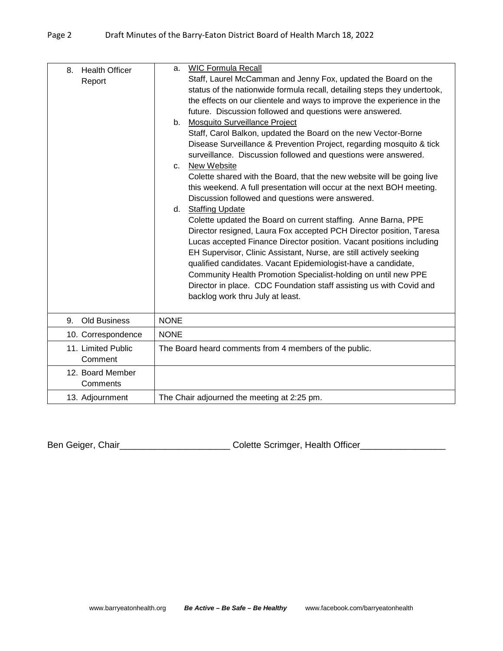| <b>Health Officer</b><br>8.<br>Report | <b>WIC Formula Recall</b><br>a.<br>Staff, Laurel McCamman and Jenny Fox, updated the Board on the<br>status of the nationwide formula recall, detailing steps they undertook,<br>the effects on our clientele and ways to improve the experience in the<br>future. Discussion followed and questions were answered.<br>Mosquito Surveillance Project<br>b.<br>Staff, Carol Balkon, updated the Board on the new Vector-Borne<br>Disease Surveillance & Prevention Project, regarding mosquito & tick<br>surveillance. Discussion followed and questions were answered.<br>New Website<br>C.<br>Colette shared with the Board, that the new website will be going live<br>this weekend. A full presentation will occur at the next BOH meeting.<br>Discussion followed and questions were answered.<br>d. Staffing Update<br>Colette updated the Board on current staffing. Anne Barna, PPE<br>Director resigned, Laura Fox accepted PCH Director position, Taresa<br>Lucas accepted Finance Director position. Vacant positions including<br>EH Supervisor, Clinic Assistant, Nurse, are still actively seeking<br>qualified candidates. Vacant Epidemiologist-have a candidate,<br>Community Health Promotion Specialist-holding on until new PPE<br>Director in place. CDC Foundation staff assisting us with Covid and<br>backlog work thru July at least. |
|---------------------------------------|---------------------------------------------------------------------------------------------------------------------------------------------------------------------------------------------------------------------------------------------------------------------------------------------------------------------------------------------------------------------------------------------------------------------------------------------------------------------------------------------------------------------------------------------------------------------------------------------------------------------------------------------------------------------------------------------------------------------------------------------------------------------------------------------------------------------------------------------------------------------------------------------------------------------------------------------------------------------------------------------------------------------------------------------------------------------------------------------------------------------------------------------------------------------------------------------------------------------------------------------------------------------------------------------------------------------------------------------------------------|
| <b>Old Business</b><br>9.             | <b>NONE</b>                                                                                                                                                                                                                                                                                                                                                                                                                                                                                                                                                                                                                                                                                                                                                                                                                                                                                                                                                                                                                                                                                                                                                                                                                                                                                                                                                   |
| 10. Correspondence                    | <b>NONE</b>                                                                                                                                                                                                                                                                                                                                                                                                                                                                                                                                                                                                                                                                                                                                                                                                                                                                                                                                                                                                                                                                                                                                                                                                                                                                                                                                                   |
| 11. Limited Public<br>Comment         | The Board heard comments from 4 members of the public.                                                                                                                                                                                                                                                                                                                                                                                                                                                                                                                                                                                                                                                                                                                                                                                                                                                                                                                                                                                                                                                                                                                                                                                                                                                                                                        |
| 12. Board Member<br>Comments          |                                                                                                                                                                                                                                                                                                                                                                                                                                                                                                                                                                                                                                                                                                                                                                                                                                                                                                                                                                                                                                                                                                                                                                                                                                                                                                                                                               |
| 13. Adjournment                       | The Chair adjourned the meeting at 2:25 pm.                                                                                                                                                                                                                                                                                                                                                                                                                                                                                                                                                                                                                                                                                                                                                                                                                                                                                                                                                                                                                                                                                                                                                                                                                                                                                                                   |

Ben Geiger, Chair\_\_\_\_\_\_\_\_\_\_\_\_\_\_\_\_\_\_\_\_\_\_\_\_\_\_\_\_\_Colette Scrimger, Health Officer\_\_\_\_\_\_\_\_\_\_\_\_\_\_\_\_\_\_\_\_\_